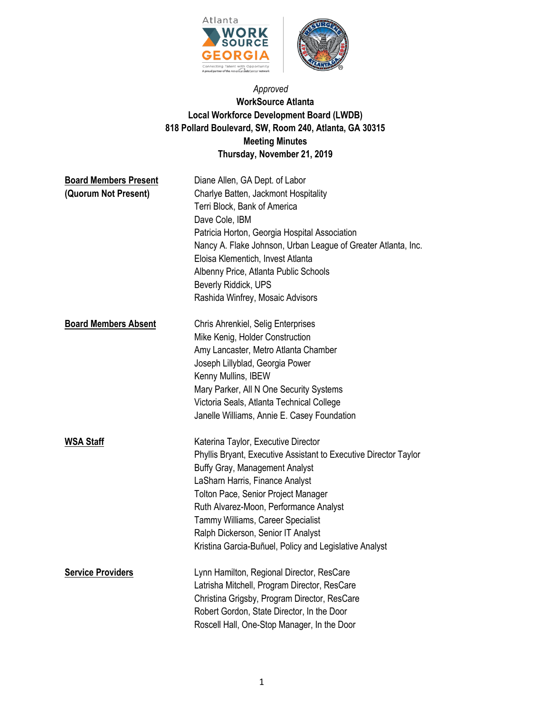

# *Approved*  **WorkSource Atlanta Local Workforce Development Board (LWDB) 818 Pollard Boulevard, SW, Room 240, Atlanta, GA 30315 Meeting Minutes Thursday, November 21, 2019**

| <b>Board Members Present</b><br>(Quorum Not Present) | Diane Allen, GA Dept. of Labor<br>Charlye Batten, Jackmont Hospitality<br>Terri Block, Bank of America<br>Dave Cole, IBM<br>Patricia Horton, Georgia Hospital Association<br>Nancy A. Flake Johnson, Urban League of Greater Atlanta, Inc.<br>Eloisa Klementich, Invest Atlanta<br>Albenny Price, Atlanta Public Schools<br>Beverly Riddick, UPS<br>Rashida Winfrey, Mosaic Advisors                      |
|------------------------------------------------------|-----------------------------------------------------------------------------------------------------------------------------------------------------------------------------------------------------------------------------------------------------------------------------------------------------------------------------------------------------------------------------------------------------------|
| <b>Board Members Absent</b>                          | Chris Ahrenkiel, Selig Enterprises<br>Mike Kenig, Holder Construction<br>Amy Lancaster, Metro Atlanta Chamber<br>Joseph Lillyblad, Georgia Power<br>Kenny Mullins, IBEW<br>Mary Parker, All N One Security Systems<br>Victoria Seals, Atlanta Technical College<br>Janelle Williams, Annie E. Casey Foundation                                                                                            |
| <b>WSA Staff</b>                                     | Katerina Taylor, Executive Director<br>Phyllis Bryant, Executive Assistant to Executive Director Taylor<br>Buffy Gray, Management Analyst<br>LaSharn Harris, Finance Analyst<br><b>Tolton Pace, Senior Project Manager</b><br>Ruth Alvarez-Moon, Performance Analyst<br>Tammy Williams, Career Specialist<br>Ralph Dickerson, Senior IT Analyst<br>Kristina Garcia-Buñuel, Policy and Legislative Analyst |
| <b>Service Providers</b>                             | Lynn Hamilton, Regional Director, ResCare<br>Latrisha Mitchell, Program Director, ResCare<br>Christina Grigsby, Program Director, ResCare<br>Robert Gordon, State Director, In the Door<br>Roscell Hall, One-Stop Manager, In the Door                                                                                                                                                                    |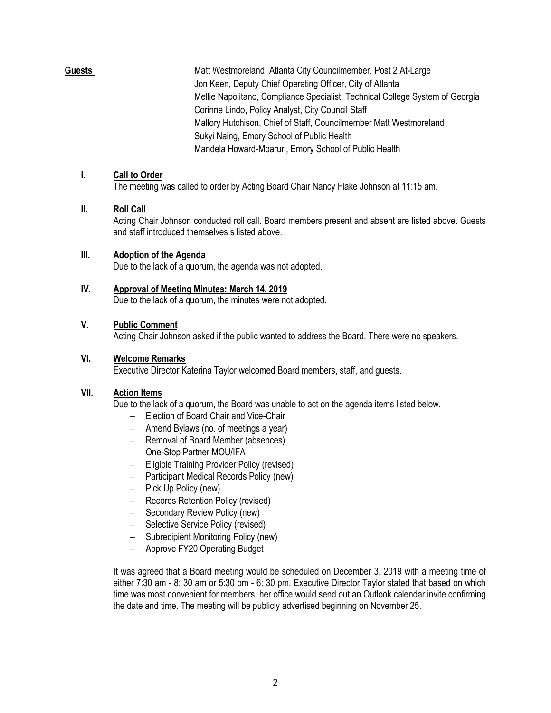**Guests** Matt Westmoreland, Atlanta City Councilmember, Post 2 At-Large Jon Keen, Deputy Chief Operating Officer, City of Atlanta Mellie Napolitano, Compliance Specialist, Technical College System of Georgia Corinne Lindo, Policy Analyst, City Council Staff Mallory Hutchison, Chief of Staff, Councilmember Matt Westmoreland Sukyi Naing, Emory School of Public Health Mandela Howard-Mparuri, Emory School of Public Health

### **I. Call to Order**

The meeting was called to order by Acting Board Chair Nancy Flake Johnson at 11:15 am.

### **II. Roll Call**

Acting Chair Johnson conducted roll call. Board members present and absent are listed above. Guests and staff introduced themselves s listed above.

### **III. Adoption of the Agenda**

Due to the lack of a quorum, the agenda was not adopted.

## **IV. Approval of Meeting Minutes: March 14, 2019**

Due to the lack of a quorum, the minutes were not adopted.

### **V. Public Comment**

Acting Chair Johnson asked if the public wanted to address the Board. There were no speakers.

## **VI. Welcome Remarks**

Executive Director Katerina Taylor welcomed Board members, staff, and guests.

## **VII. Action Items**

Due to the lack of a quorum, the Board was unable to act on the agenda items listed below.

- − Election of Board Chair and Vice-Chair
- − Amend Bylaws (no. of meetings a year)
- − Removal of Board Member (absences)
- − One-Stop Partner MOU/IFA
- − Eligible Training Provider Policy (revised)
- − Participant Medical Records Policy (new)
- − Pick Up Policy (new)
- − Records Retention Policy (revised)
- − Secondary Review Policy (new)
- − Selective Service Policy (revised)
- − Subrecipient Monitoring Policy (new)
- − Approve FY20 Operating Budget

It was agreed that a Board meeting would be scheduled on December 3, 2019 with a meeting time of either 7:30 am - 8: 30 am or 5:30 pm - 6: 30 pm. Executive Director Taylor stated that based on which time was most convenient for members, her office would send out an Outlook calendar invite confirming the date and time. The meeting will be publicly advertised beginning on November 25.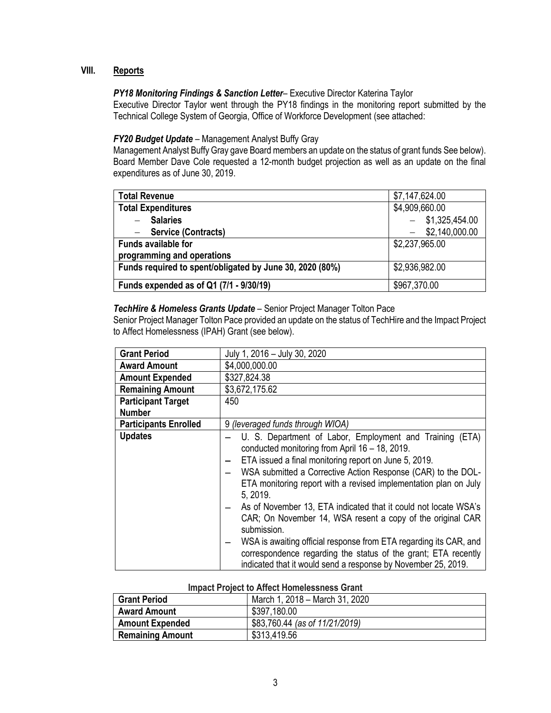# **VIII. Reports**

### *PY18 Monitoring Findings & Sanction Letter– Executive Director Katerina Taylor*

Executive Director Taylor went through the PY18 findings in the monitoring report submitted by the Technical College System of Georgia, Office of Workforce Development (see attached:

#### *FY20 Budget Update* – Management Analyst Buffy Gray

Management Analyst Buffy Gray gave Board members an update on the status of grant funds See below). Board Member Dave Cole requested a 12-month budget projection as well as an update on the final expenditures as of June 30, 2019.

| <b>Total Revenue</b>                                     | \$7,147,624.00 |
|----------------------------------------------------------|----------------|
| <b>Total Expenditures</b>                                | \$4,909,660.00 |
| <b>Salaries</b>                                          | \$1,325,454.00 |
| <b>Service (Contracts)</b>                               | \$2,140,000.00 |
| <b>Funds available for</b>                               | \$2,237,965.00 |
| programming and operations                               |                |
| Funds required to spent/obligated by June 30, 2020 (80%) | \$2,936,982.00 |
|                                                          |                |
| Funds expended as of Q1 (7/1 - 9/30/19)                  | \$967,370.00   |

## *TechHire & Homeless Grants Update* – Senior Project Manager Tolton Pace

Senior Project Manager Tolton Pace provided an update on the status of TechHire and the Impact Project to Affect Homelessness (IPAH) Grant (see below).

| <b>Grant Period</b>          | July 1, 2016 - July 30, 2020                                                                                                                                                                                                                                                                                                                                                                                                                                                                                                                                                                                                                                                |
|------------------------------|-----------------------------------------------------------------------------------------------------------------------------------------------------------------------------------------------------------------------------------------------------------------------------------------------------------------------------------------------------------------------------------------------------------------------------------------------------------------------------------------------------------------------------------------------------------------------------------------------------------------------------------------------------------------------------|
| <b>Award Amount</b>          | \$4,000,000.00                                                                                                                                                                                                                                                                                                                                                                                                                                                                                                                                                                                                                                                              |
| <b>Amount Expended</b>       | \$327,824.38                                                                                                                                                                                                                                                                                                                                                                                                                                                                                                                                                                                                                                                                |
| <b>Remaining Amount</b>      | \$3,672,175.62                                                                                                                                                                                                                                                                                                                                                                                                                                                                                                                                                                                                                                                              |
| <b>Participant Target</b>    | 450                                                                                                                                                                                                                                                                                                                                                                                                                                                                                                                                                                                                                                                                         |
| <b>Number</b>                |                                                                                                                                                                                                                                                                                                                                                                                                                                                                                                                                                                                                                                                                             |
| <b>Participants Enrolled</b> | 9 (leveraged funds through WIOA)                                                                                                                                                                                                                                                                                                                                                                                                                                                                                                                                                                                                                                            |
| <b>Updates</b>               | U. S. Department of Labor, Employment and Training (ETA)<br>conducted monitoring from April 16 - 18, 2019.<br>ETA issued a final monitoring report on June 5, 2019.<br>WSA submitted a Corrective Action Response (CAR) to the DOL-<br>ETA monitoring report with a revised implementation plan on July<br>5, 2019.<br>As of November 13, ETA indicated that it could not locate WSA's<br>CAR; On November 14, WSA resent a copy of the original CAR<br>submission.<br>WSA is awaiting official response from ETA regarding its CAR, and<br>correspondence regarding the status of the grant; ETA recently<br>indicated that it would send a response by November 25, 2019. |

#### **Impact Project to Affect Homelessness Grant**

| <b>Grant Period</b>     | March 1, 2018 – March 31, 2020 |
|-------------------------|--------------------------------|
| <b>Award Amount</b>     | \$397,180.00                   |
| <b>Amount Expended</b>  | \$83,760.44 (as of 11/21/2019) |
| <b>Remaining Amount</b> | \$313,419.56                   |